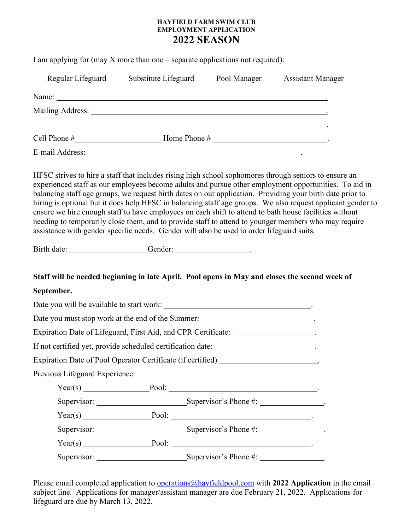## **HAYFIELD FARM SWIM CLUB EMPLOYMENT APPLICATION 2022 SEASON**

|                                | I am applying for (may $X$ more than one – separate applications not required):                                                                                                                                                |  |                                                                                                                                                                                                                                                                                                                                                                                                                                           |
|--------------------------------|--------------------------------------------------------------------------------------------------------------------------------------------------------------------------------------------------------------------------------|--|-------------------------------------------------------------------------------------------------------------------------------------------------------------------------------------------------------------------------------------------------------------------------------------------------------------------------------------------------------------------------------------------------------------------------------------------|
|                                | Regular Lifeguard Substitute Lifeguard Pool Manager Assistant Manager                                                                                                                                                          |  |                                                                                                                                                                                                                                                                                                                                                                                                                                           |
|                                |                                                                                                                                                                                                                                |  |                                                                                                                                                                                                                                                                                                                                                                                                                                           |
|                                |                                                                                                                                                                                                                                |  |                                                                                                                                                                                                                                                                                                                                                                                                                                           |
|                                |                                                                                                                                                                                                                                |  |                                                                                                                                                                                                                                                                                                                                                                                                                                           |
|                                | E-mail Address: No. 2014 19:30 No. 2014 19:30 No. 2014 19:30 No. 2014 19:30 No. 2014 19:30 No. 2014 19:30 No. 2014 19:30 No. 2014 19:30 No. 2014 19:30 No. 2014 19:30 No. 2014 19:30 No. 2014 19:30 No. 2014 19:30 No. 2014 19 |  |                                                                                                                                                                                                                                                                                                                                                                                                                                           |
|                                | ensure we hire enough staff to have employees on each shift to attend to bath house facilities without<br>assistance with gender specific needs. Gender will also be used to order lifeguard suits.                            |  | experienced staff as our employees become adults and pursue other employment opportunities. To aid in<br>balancing staff age groups, we request birth dates on our application. Providing your birth date prior to<br>hiring is optional but it does help HFSC in balancing staff age groups. We also request applicant gender to<br>needing to temporarily close them, and to provide staff to attend to younger members who may require |
|                                | Birth date: ________________________Gender: _______________________.                                                                                                                                                           |  |                                                                                                                                                                                                                                                                                                                                                                                                                                           |
|                                | Staff will be needed beginning in late April. Pool opens in May and closes the second week of                                                                                                                                  |  |                                                                                                                                                                                                                                                                                                                                                                                                                                           |
| September.                     |                                                                                                                                                                                                                                |  |                                                                                                                                                                                                                                                                                                                                                                                                                                           |
|                                |                                                                                                                                                                                                                                |  |                                                                                                                                                                                                                                                                                                                                                                                                                                           |
|                                | Date you must stop work at the end of the Summer: ______________________________.                                                                                                                                              |  |                                                                                                                                                                                                                                                                                                                                                                                                                                           |
|                                | Expiration Date of Lifeguard, First Aid, and CPR Certificate: __________________.                                                                                                                                              |  |                                                                                                                                                                                                                                                                                                                                                                                                                                           |
|                                | If not certified yet, provide scheduled certification date: ______________________.                                                                                                                                            |  |                                                                                                                                                                                                                                                                                                                                                                                                                                           |
|                                | Expiration Date of Pool Operator Certificate (if certified) ____________________                                                                                                                                               |  |                                                                                                                                                                                                                                                                                                                                                                                                                                           |
| Previous Lifeguard Experience: |                                                                                                                                                                                                                                |  |                                                                                                                                                                                                                                                                                                                                                                                                                                           |
|                                |                                                                                                                                                                                                                                |  |                                                                                                                                                                                                                                                                                                                                                                                                                                           |
|                                | Supervisor: Supervisor's Phone #:                                                                                                                                                                                              |  |                                                                                                                                                                                                                                                                                                                                                                                                                                           |
|                                |                                                                                                                                                                                                                                |  |                                                                                                                                                                                                                                                                                                                                                                                                                                           |
|                                |                                                                                                                                                                                                                                |  |                                                                                                                                                                                                                                                                                                                                                                                                                                           |
|                                |                                                                                                                                                                                                                                |  |                                                                                                                                                                                                                                                                                                                                                                                                                                           |
|                                | Supervisor: Supervisor's Phone #: ______________.                                                                                                                                                                              |  |                                                                                                                                                                                                                                                                                                                                                                                                                                           |

Please email completed application to [operations@hayfieldpool.c](mailto:operations@hayfieldpool.)om with **2022 Application** in the email subject line. Applications for manager/assistant manager are due February 21, 2022. Applications for lifeguard are due by March 13, 2022.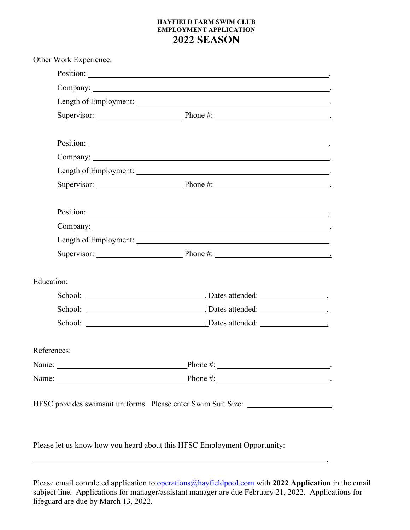## **HAYFIELD FARM SWIM CLUB EMPLOYMENT APPLICATION 2022 SEASON**

| Other Work Experience: |                          |
|------------------------|--------------------------|
|                        |                          |
|                        | Company: $\qquad \qquad$ |
|                        |                          |
|                        |                          |
|                        |                          |
|                        |                          |
|                        |                          |
|                        |                          |
|                        |                          |
|                        | Company: $\qquad \qquad$ |
|                        |                          |
|                        |                          |
| <b>Education:</b>      |                          |
|                        |                          |
|                        |                          |
|                        |                          |
| References:            |                          |
|                        |                          |
|                        |                          |

Please let us know how you heard about this HFSC Employment Opportunity:

<u>. Andre Sterne and Sterne and Sterne and Sterne and Sterne and Sterne and Sterne and Sterne and Sterne and St</u>

Please email completed application to [operations@hayfieldpool.c](mailto:operations@hayfieldpool.)om with **2022 Application** in the email subject line. Applications for manager/assistant manager are due February 21, 2022. Applications for lifeguard are due by March 13, 2022.